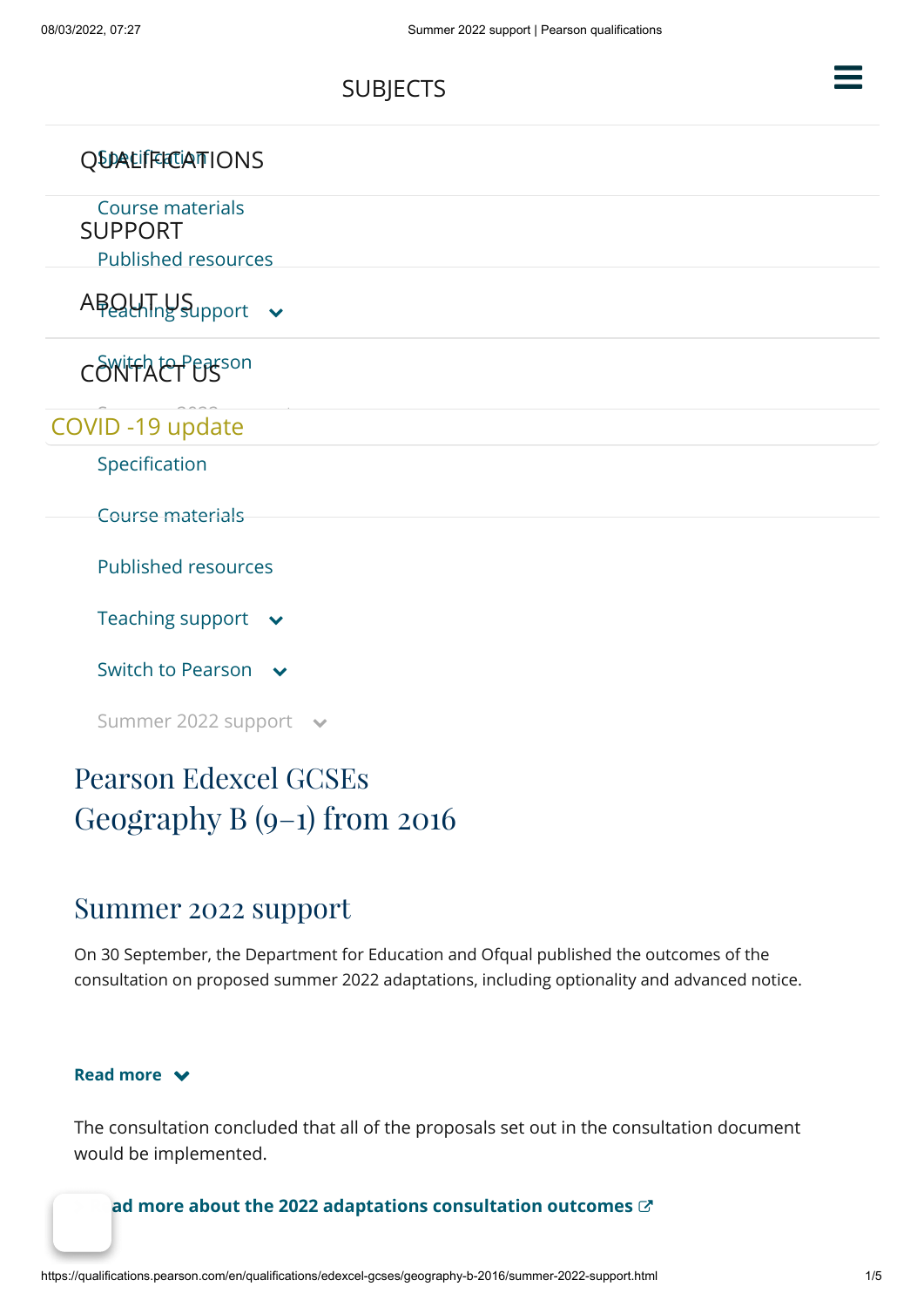| <b>QUALIFFICIATIONS</b>                                          |  |
|------------------------------------------------------------------|--|
| Course materials<br><b>SUPPORT</b><br><b>Published resources</b> |  |
| $ABQUTny$ Support $\sim$                                         |  |
| CONIFACT EASON                                                   |  |
| COVID-19 update                                                  |  |
| Specification                                                    |  |
| <b>Course materials</b>                                          |  |
| <b>Published resources</b>                                       |  |
| Teaching support $\rightarrow$                                   |  |
| Switch to Pearson v                                              |  |
| Summer 2022 support ↓                                            |  |

[SUBJECTS](https://qualifications.pearson.com/en/subjects.html)

# Pearson Edexcel GCSEs Geography B (9–1) from 2016

### Summer 2022 support

On 30 September, the Department for Education and Ofqual published the outcomes of the consultation on proposed summer 2022 adaptations, including optionality and advanced notice.

#### **Read more**

The consultation concluded that all of the proposals set out in the consultation document would be implemented.

#### ad more about the 2022 adaptations consultation outcomes  $\mathbb{C}^*$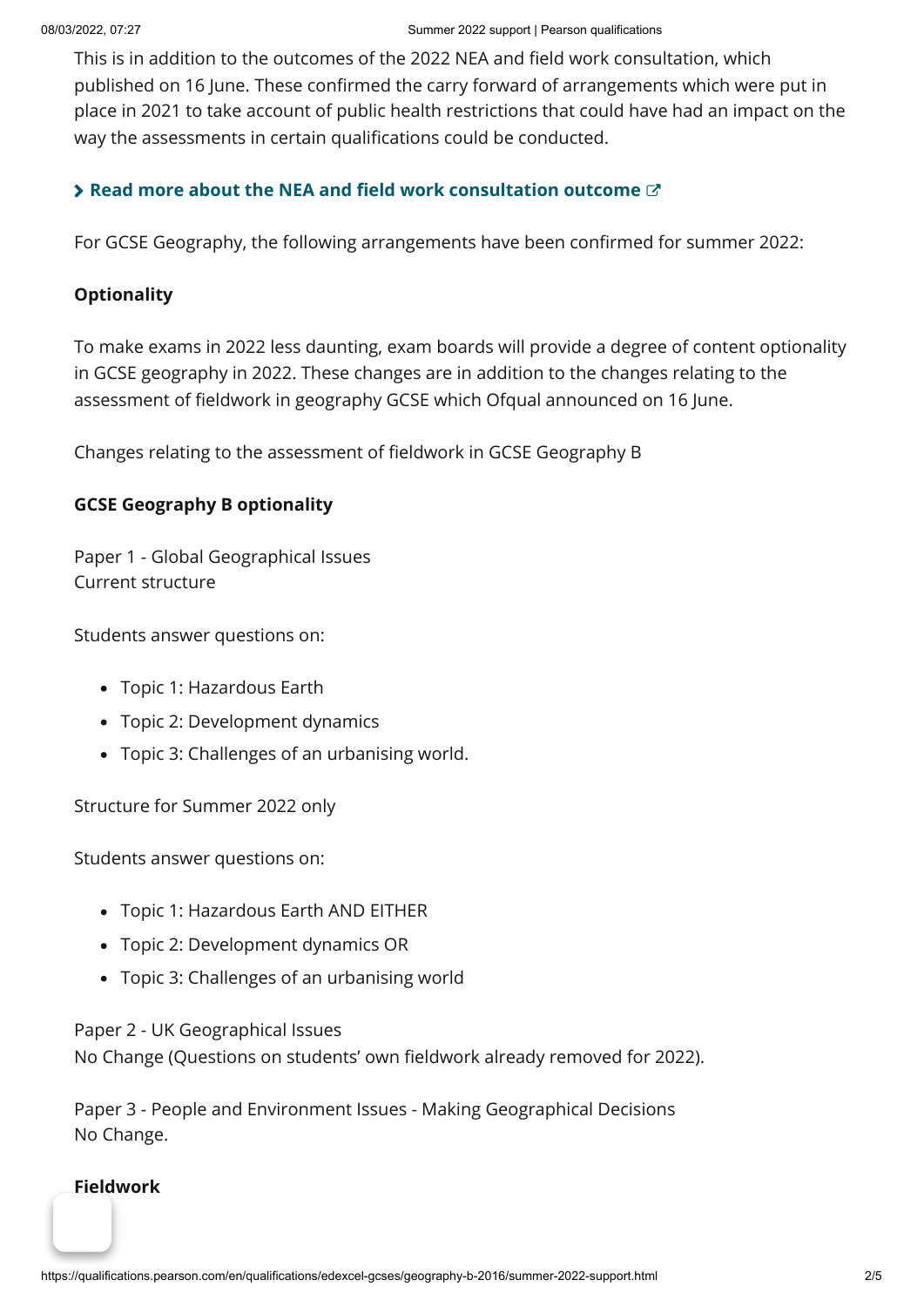This is in addition to the outcomes of the 2022 NEA and field work consultation, which published on 16 June. These confirmed the carry forward of arrangements which were put in place in 2021 to take account of public health restrictions that could have had an impact on the way the assessments in certain qualifications could be conducted.

#### **> [Read more about the NEA and field work consultation outcome](https://www.gov.uk/government/consultations/arrangements-for-non-exam-assessment-for-qualifications-in-2022)**

For GCSE Geography, the following arrangements have been confirmed for summer 2022:

#### **Optionality**

To make exams in 2022 less daunting, exam boards will provide a degree of content optionality in GCSE geography in 2022. These changes are in addition to the changes relating to the assessment of fieldwork in geography GCSE which Ofqual announced on 16 June.

Changes relating to the assessment of fieldwork in GCSE Geography B

#### **GCSE Geography B optionality**

Paper 1 - Global Geographical Issues Current structure

Students answer questions on:

- Topic 1: Hazardous Earth
- Topic 2: Development dynamics
- Topic 3: Challenges of an urbanising world.

Structure for Summer 2022 only

Students answer questions on:

- Topic 1: Hazardous Earth AND EITHER
- Topic 2: Development dynamics OR
- Topic 3: Challenges of an urbanising world

Paper 2 - UK Geographical Issues

No Change (Questions on students' own fieldwork already removed for 2022).

Paper 3 - People and Environment Issues - Making Geographical Decisions No Change.

#### **Fieldwork**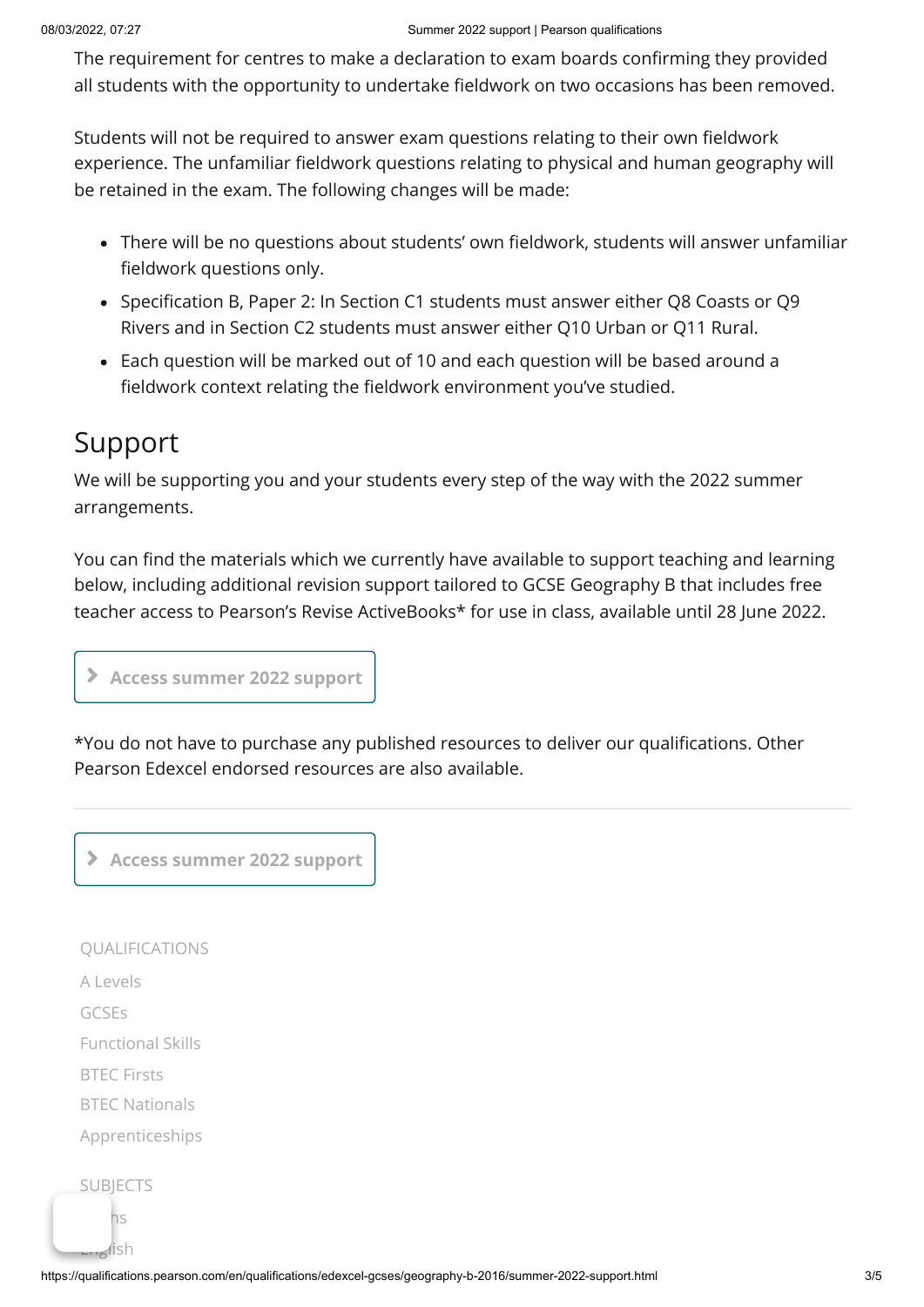The requirement for centres to make a declaration to exam boards confirming they provided all students with the opportunity to undertake fieldwork on two occasions has been removed.

Students will not be required to answer exam questions relating to their own fieldwork experience. The unfamiliar fieldwork questions relating to physical and human geography will be retained in the exam. The following changes will be made:

- There will be no questions about students' own fieldwork, students will answer unfamiliar fieldwork questions only.
- Specification B, Paper 2: In Section C1 students must answer either Q8 Coasts or Q9 Rivers and in Section C2 students must answer either Q10 Urban or Q11 Rural.
- Each question will be marked out of 10 and each question will be based around a fieldwork context relating the fieldwork environment you've studied.

## Support

We will be supporting you and your students every step of the way with the 2022 summer arrangements.

You can find the materials which we currently have available to support teaching and learning below, including additional revision support tailored to GCSE Geography B that includes free teacher access to Pearson's Revise ActiveBooks\* for use in class, available until 28 June 2022.

**Access summer 2022 support**

\*You do not have to purchase any published resources to deliver our qualifications. Other Pearson Edexcel endorsed resources are also available.

**Access summer 2022 support**

[QUALIFICATIONS](https://qualifications.pearson.com/en/qualifications.html)  $A | PVP|S$ [GCSEs](https://qualifications.pearson.com/en/qualifications/edexcel-gcses.html) [Functional Skills](https://qualifications.pearson.com/en/qualifications/edexcel-functional-skills.html) [BTEC Firsts](https://qualifications.pearson.com/en/qualifications/btec-firsts.html) [BTEC Nationals](https://qualifications.pearson.com/en/qualifications/btec-nationals.html) [Apprenticeships](https://qualifications.pearson.com/en/qualifications/apprenticeships.html) **[SUBJECTS](https://qualifications.pearson.com/en/subjects.html)** ns

 $\leq$ lish